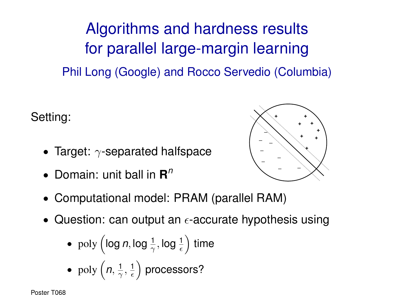Algorithms and hardness results for parallel large-margin learning Phil Long (Google) and Rocco Servedio (Columbia)

Setting:

- Target:  $\gamma$ -separated halfspace
- Domain: unit ball in **R** *n*



• Question: can output an  $\epsilon$ -accurate hypothesis using

• poly 
$$
\left(\log n, \log \frac{1}{\gamma}, \log \frac{1}{\epsilon}\right)
$$
 time

• poly 
$$
\left(n, \frac{1}{\gamma}, \frac{1}{\epsilon}\right)
$$
 processors?

Poster T068

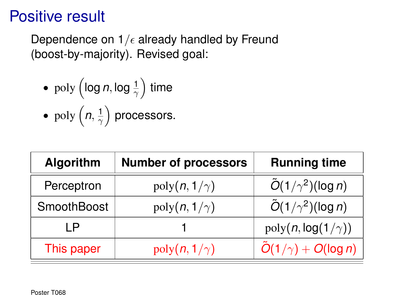## Positive result

Dependence on  $1/\epsilon$  already handled by Freund (boost-by-majority). Revised goal:

- $\bullet \;\, \text{poly}\left(\log n, \log \frac{1}{\gamma}\right)$  time
- poly  $\left(n,\frac{1}{\gamma}\right)$  processors.

| Algorithm   | <b>Number of processors</b> | <b>Running time</b>               |
|-------------|-----------------------------|-----------------------------------|
| Perceptron  | $poly(n, 1/\gamma)$         | $\tilde{O}(1/\gamma^2)(\log n)$   |
| SmoothBoost | $poly(n, 1/\gamma)$         | $\tilde{O}(1/\gamma^2)(\log n)$   |
| ΙP          |                             | $poly(n, \log(1/\gamma))$         |
| This paper  | $poly(n, 1/\gamma)$         | $\tilde{O}(1/\gamma) + O(\log n)$ |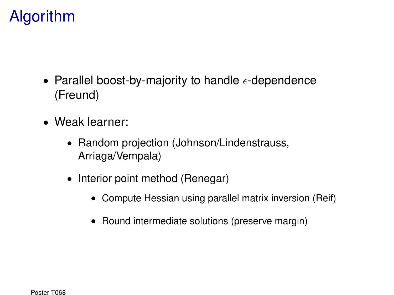## Algorithm

- Parallel boost-by-majority to handle  $\epsilon$ -dependence (Freund)
- Weak learner:
	- Random projection (Johnson/Lindenstrauss, Arriaga/Vempala)
	- Interior point method (Renegar)
		- Compute Hessian using parallel matrix inversion (Reif)
		- Round intermediate solutions (preserve margin)